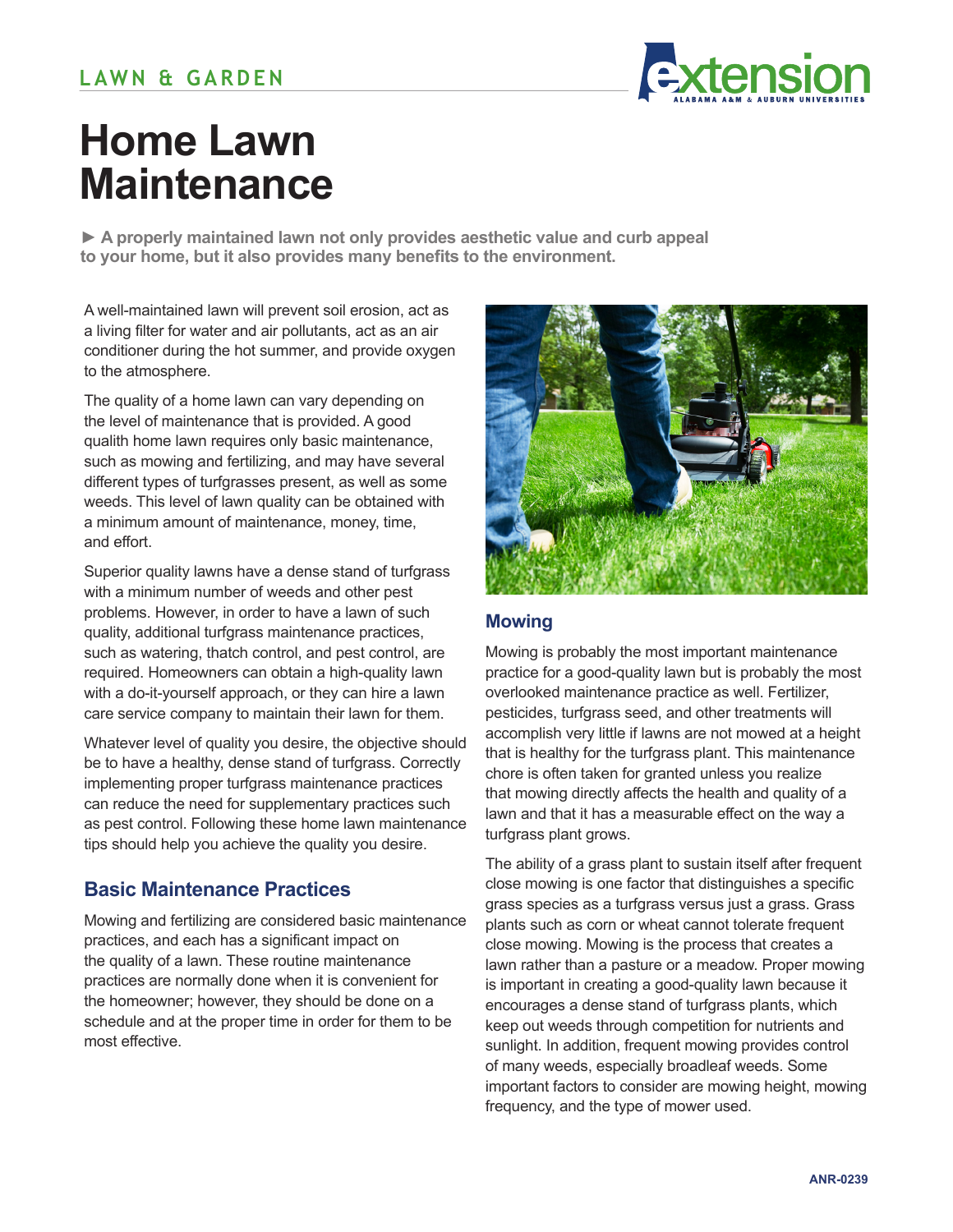

# **Home Lawn Maintenance**

**► A properly maintained lawn not only provides aesthetic value and curb appeal to your home, but it also provides many benefits to the environment.**

A well-maintained lawn will prevent soil erosion, act as a living filter for water and air pollutants, act as an air conditioner during the hot summer, and provide oxygen to the atmosphere.

The quality of a home lawn can vary depending on the level of maintenance that is provided. A good qualith home lawn requires only basic maintenance, such as mowing and fertilizing, and may have several different types of turfgrasses present, as well as some weeds. This level of lawn quality can be obtained with a minimum amount of maintenance, money, time, and effort.

Superior quality lawns have a dense stand of turfgrass with a minimum number of weeds and other pest problems. However, in order to have a lawn of such quality, additional turfgrass maintenance practices, such as watering, thatch control, and pest control, are required. Homeowners can obtain a high-quality lawn with a do-it-yourself approach, or they can hire a lawn care service company to maintain their lawn for them.

Whatever level of quality you desire, the objective should be to have a healthy, dense stand of turfgrass. Correctly implementing proper turfgrass maintenance practices can reduce the need for supplementary practices such as pest control. Following these home lawn maintenance tips should help you achieve the quality you desire.

# **Basic Maintenance Practices**

Mowing and fertilizing are considered basic maintenance practices, and each has a significant impact on the quality of a lawn. These routine maintenance practices are normally done when it is convenient for the homeowner; however, they should be done on a schedule and at the proper time in order for them to be most effective.



## **Mowing**

Mowing is probably the most important maintenance practice for a good-quality lawn but is probably the most overlooked maintenance practice as well. Fertilizer, pesticides, turfgrass seed, and other treatments will accomplish very little if lawns are not mowed at a height that is healthy for the turfgrass plant. This maintenance chore is often taken for granted unless you realize that mowing directly affects the health and quality of a lawn and that it has a measurable effect on the way a turfgrass plant grows.

The ability of a grass plant to sustain itself after frequent close mowing is one factor that distinguishes a specific grass species as a turfgrass versus just a grass. Grass plants such as corn or wheat cannot tolerate frequent close mowing. Mowing is the process that creates a lawn rather than a pasture or a meadow. Proper mowing is important in creating a good-quality lawn because it encourages a dense stand of turfgrass plants, which keep out weeds through competition for nutrients and sunlight. In addition, frequent mowing provides control of many weeds, especially broadleaf weeds. Some important factors to consider are mowing height, mowing frequency, and the type of mower used.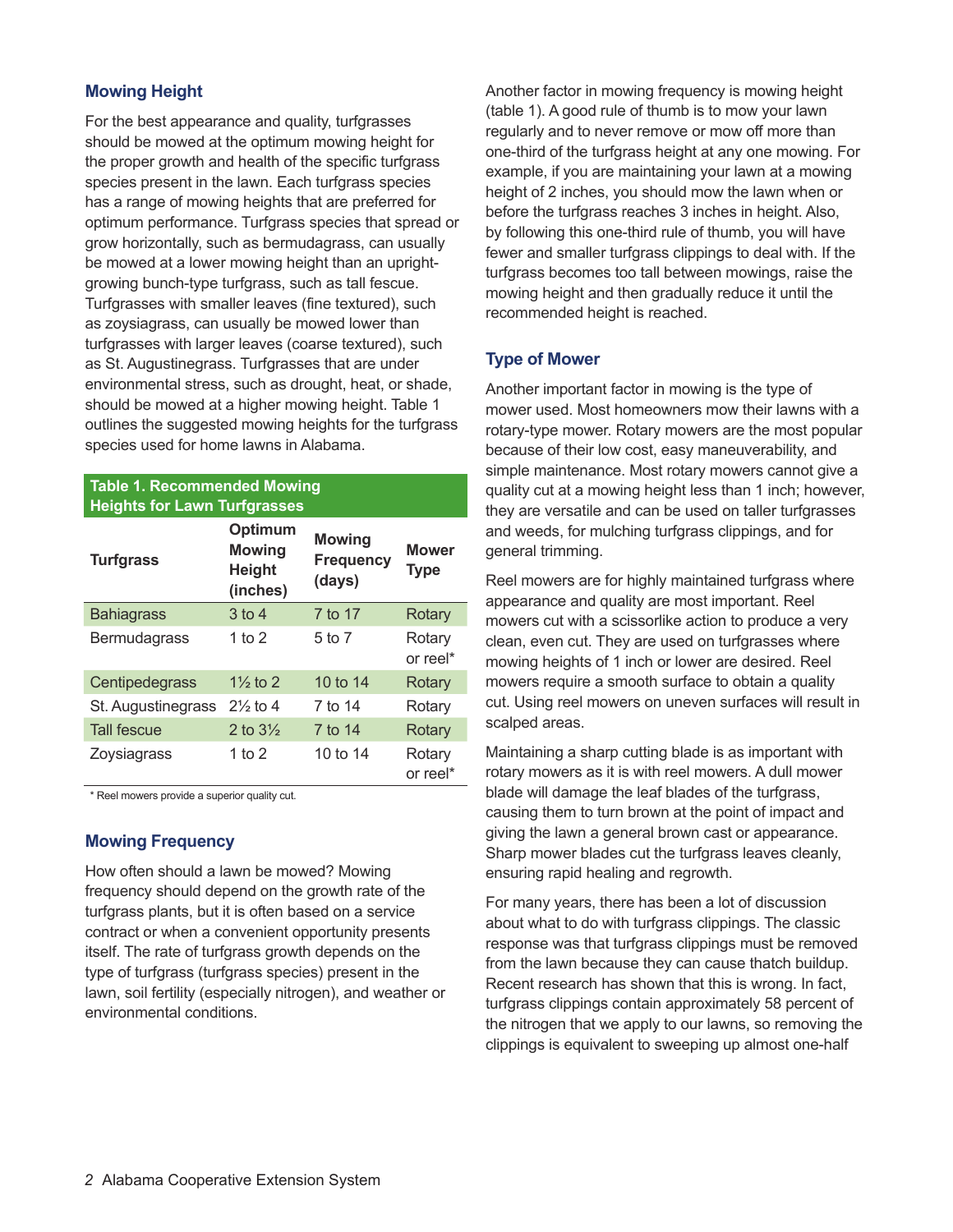#### **Mowing Height**

For the best appearance and quality, turfgrasses should be mowed at the optimum mowing height for the proper growth and health of the specific turfgrass species present in the lawn. Each turfgrass species has a range of mowing heights that are preferred for optimum performance. Turfgrass species that spread or grow horizontally, such as bermudagrass, can usually be mowed at a lower mowing height than an uprightgrowing bunch-type turfgrass, such as tall fescue. Turfgrasses with smaller leaves (fine textured), such as zoysiagrass, can usually be mowed lower than turfgrasses with larger leaves (coarse textured), such as St. Augustinegrass. Turfgrasses that are under environmental stress, such as drought, heat, or shade, should be mowed at a higher mowing height. Table 1 outlines the suggested mowing heights for the turfgrass species used for home lawns in Alabama.

#### **Table 1. Recommended Mowing Heights for Lawn Turfgrasses**

| <b>Turfgrass</b>   | Optimum<br><b>Mowing</b><br><b>Height</b><br>(inches) | <b>Mowing</b><br><b>Frequency</b><br>(days) | <b>Mower</b><br><b>Type</b> |  |  |  |
|--------------------|-------------------------------------------------------|---------------------------------------------|-----------------------------|--|--|--|
| <b>Bahiagrass</b>  | $3$ to 4                                              | 7 to 17                                     | Rotary                      |  |  |  |
| Bermudagrass       | 1 to 2                                                | 5 to 7                                      | Rotary<br>or reel*          |  |  |  |
| Centipedegrass     | $1\frac{1}{2}$ to 2                                   | 10 to 14                                    | Rotary                      |  |  |  |
| St. Augustinegrass | $2\frac{1}{2}$ to 4                                   | 7 to 14                                     | Rotary                      |  |  |  |
| <b>Tall fescue</b> | 2 to $3\frac{1}{2}$                                   | 7 to 14                                     | Rotary                      |  |  |  |
| Zoysiagrass        | 1 to 2                                                | 10 to 14                                    | Rotary<br>or reel*          |  |  |  |

\* Reel mowers provide a superior quality cut.

#### **Mowing Frequency**

How often should a lawn be mowed? Mowing frequency should depend on the growth rate of the turfgrass plants, but it is often based on a service contract or when a convenient opportunity presents itself. The rate of turfgrass growth depends on the type of turfgrass (turfgrass species) present in the lawn, soil fertility (especially nitrogen), and weather or environmental conditions.

Another factor in mowing frequency is mowing height (table 1). A good rule of thumb is to mow your lawn regularly and to never remove or mow off more than one-third of the turfgrass height at any one mowing. For example, if you are maintaining your lawn at a mowing height of 2 inches, you should mow the lawn when or before the turfgrass reaches 3 inches in height. Also, by following this one-third rule of thumb, you will have fewer and smaller turfgrass clippings to deal with. If the turfgrass becomes too tall between mowings, raise the mowing height and then gradually reduce it until the recommended height is reached.

#### **Type of Mower**

Another important factor in mowing is the type of mower used. Most homeowners mow their lawns with a rotary-type mower. Rotary mowers are the most popular because of their low cost, easy maneuverability, and simple maintenance. Most rotary mowers cannot give a quality cut at a mowing height less than 1 inch; however, they are versatile and can be used on taller turfgrasses and weeds, for mulching turfgrass clippings, and for general trimming.

Reel mowers are for highly maintained turfgrass where appearance and quality are most important. Reel mowers cut with a scissorlike action to produce a very clean, even cut. They are used on turfgrasses where mowing heights of 1 inch or lower are desired. Reel mowers require a smooth surface to obtain a quality cut. Using reel mowers on uneven surfaces will result in scalped areas.

Maintaining a sharp cutting blade is as important with rotary mowers as it is with reel mowers. A dull mower blade will damage the leaf blades of the turfgrass, causing them to turn brown at the point of impact and giving the lawn a general brown cast or appearance. Sharp mower blades cut the turfgrass leaves cleanly, ensuring rapid healing and regrowth.

For many years, there has been a lot of discussion about what to do with turfgrass clippings. The classic response was that turfgrass clippings must be removed from the lawn because they can cause thatch buildup. Recent research has shown that this is wrong. In fact, turfgrass clippings contain approximately 58 percent of the nitrogen that we apply to our lawns, so removing the clippings is equivalent to sweeping up almost one-half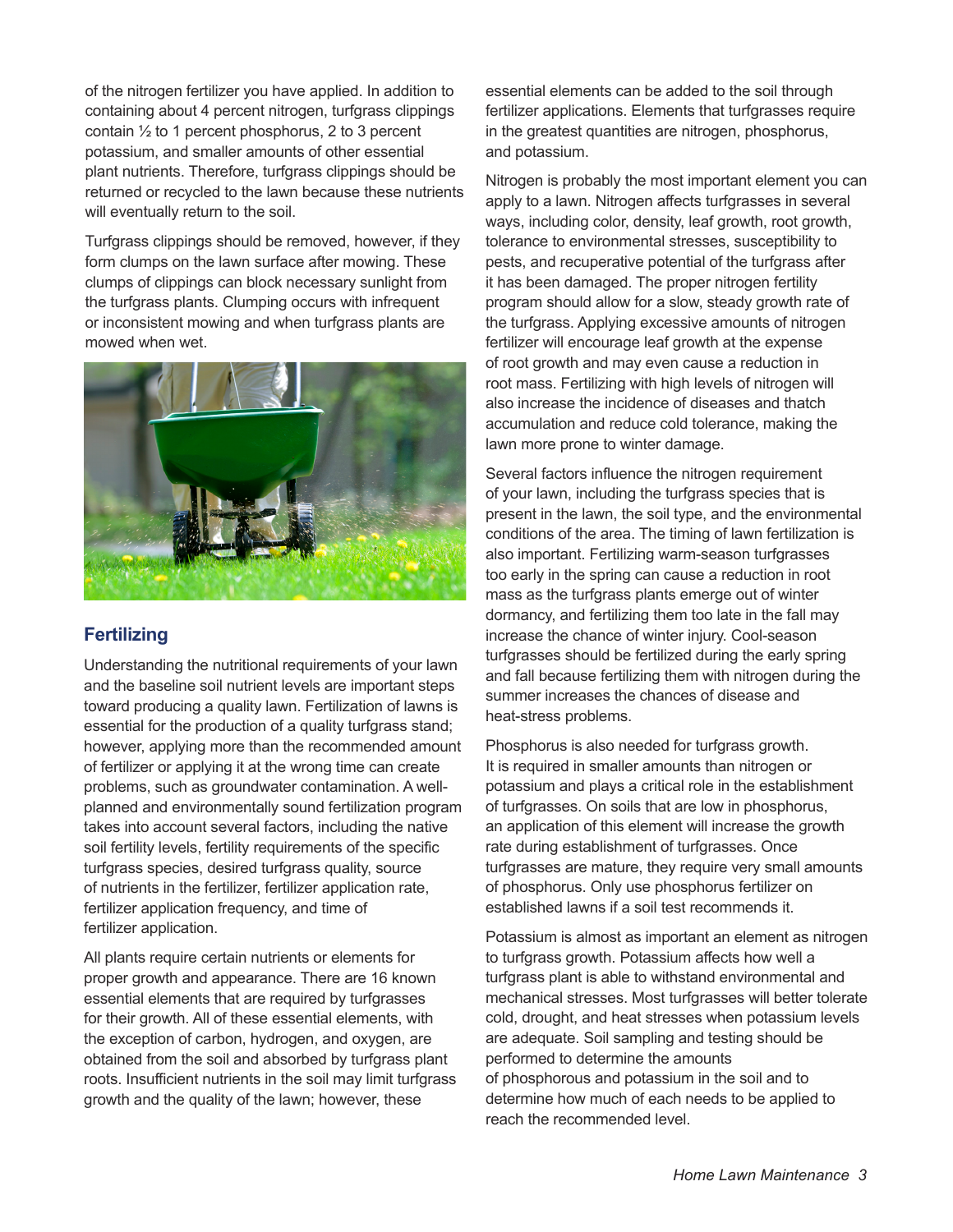of the nitrogen fertilizer you have applied. In addition to containing about 4 percent nitrogen, turfgrass clippings contain ½ to 1 percent phosphorus, 2 to 3 percent potassium, and smaller amounts of other essential plant nutrients. Therefore, turfgrass clippings should be returned or recycled to the lawn because these nutrients will eventually return to the soil.

Turfgrass clippings should be removed, however, if they form clumps on the lawn surface after mowing. These clumps of clippings can block necessary sunlight from the turfgrass plants. Clumping occurs with infrequent or inconsistent mowing and when turfgrass plants are mowed when wet.



# **Fertilizing**

Understanding the nutritional requirements of your lawn and the baseline soil nutrient levels are important steps toward producing a quality lawn. Fertilization of lawns is essential for the production of a quality turfgrass stand; however, applying more than the recommended amount of fertilizer or applying it at the wrong time can create problems, such as groundwater contamination. A wellplanned and environmentally sound fertilization program takes into account several factors, including the native soil fertility levels, fertility requirements of the specific turfgrass species, desired turfgrass quality, source of nutrients in the fertilizer, fertilizer application rate, fertilizer application frequency, and time of fertilizer application.

All plants require certain nutrients or elements for proper growth and appearance. There are 16 known essential elements that are required by turfgrasses for their growth. All of these essential elements, with the exception of carbon, hydrogen, and oxygen, are obtained from the soil and absorbed by turfgrass plant roots. Insufficient nutrients in the soil may limit turfgrass growth and the quality of the lawn; however, these

essential elements can be added to the soil through fertilizer applications. Elements that turfgrasses require in the greatest quantities are nitrogen, phosphorus, and potassium.

Nitrogen is probably the most important element you can apply to a lawn. Nitrogen affects turfgrasses in several ways, including color, density, leaf growth, root growth, tolerance to environmental stresses, susceptibility to pests, and recuperative potential of the turfgrass after it has been damaged. The proper nitrogen fertility program should allow for a slow, steady growth rate of the turfgrass. Applying excessive amounts of nitrogen fertilizer will encourage leaf growth at the expense of root growth and may even cause a reduction in root mass. Fertilizing with high levels of nitrogen will also increase the incidence of diseases and thatch accumulation and reduce cold tolerance, making the lawn more prone to winter damage.

Several factors influence the nitrogen requirement of your lawn, including the turfgrass species that is present in the lawn, the soil type, and the environmental conditions of the area. The timing of lawn fertilization is also important. Fertilizing warm-season turfgrasses too early in the spring can cause a reduction in root mass as the turfgrass plants emerge out of winter dormancy, and fertilizing them too late in the fall may increase the chance of winter injury. Cool-season turfgrasses should be fertilized during the early spring and fall because fertilizing them with nitrogen during the summer increases the chances of disease and heat-stress problems.

Phosphorus is also needed for turfgrass growth. It is required in smaller amounts than nitrogen or potassium and plays a critical role in the establishment of turfgrasses. On soils that are low in phosphorus, an application of this element will increase the growth rate during establishment of turfgrasses. Once turfgrasses are mature, they require very small amounts of phosphorus. Only use phosphorus fertilizer on established lawns if a soil test recommends it.

Potassium is almost as important an element as nitrogen to turfgrass growth. Potassium affects how well a turfgrass plant is able to withstand environmental and mechanical stresses. Most turfgrasses will better tolerate cold, drought, and heat stresses when potassium levels are adequate. Soil sampling and testing should be performed to determine the amounts of phosphorous and potassium in the soil and to determine how much of each needs to be applied to reach the recommended level.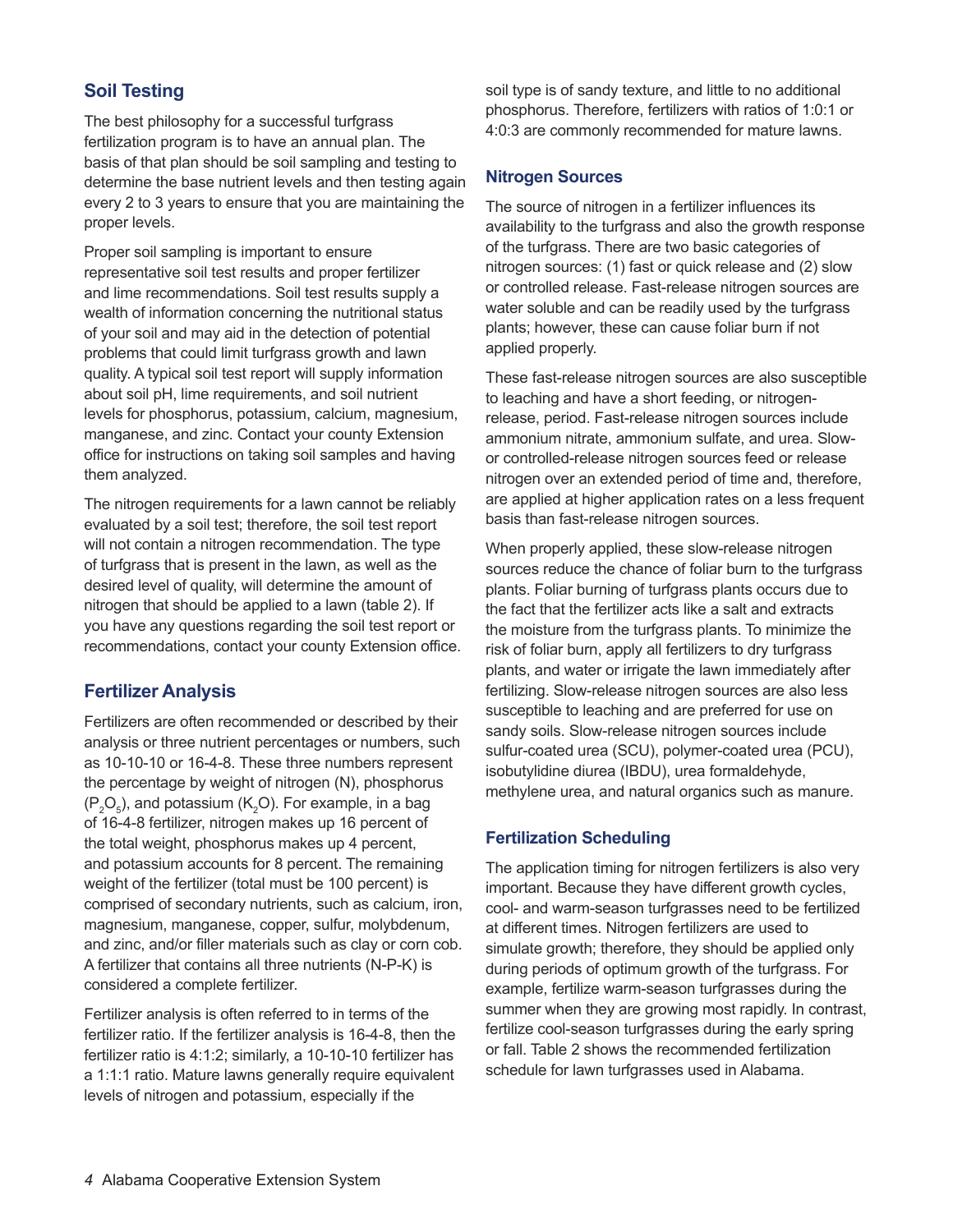# **Soil Testing**

The best philosophy for a successful turfgrass fertilization program is to have an annual plan. The basis of that plan should be soil sampling and testing to determine the base nutrient levels and then testing again every 2 to 3 years to ensure that you are maintaining the proper levels.

Proper soil sampling is important to ensure representative soil test results and proper fertilizer and lime recommendations. Soil test results supply a wealth of information concerning the nutritional status of your soil and may aid in the detection of potential problems that could limit turfgrass growth and lawn quality. A typical soil test report will supply information about soil pH, lime requirements, and soil nutrient levels for phosphorus, potassium, calcium, magnesium, manganese, and zinc. Contact your county Extension office for instructions on taking soil samples and having them analyzed.

The nitrogen requirements for a lawn cannot be reliably evaluated by a soil test; therefore, the soil test report will not contain a nitrogen recommendation. The type of turfgrass that is present in the lawn, as well as the desired level of quality, will determine the amount of nitrogen that should be applied to a lawn (table 2). If you have any questions regarding the soil test report or recommendations, contact your county Extension office.

## **Fertilizer Analysis**

Fertilizers are often recommended or described by their analysis or three nutrient percentages or numbers, such as 10-10-10 or 16-4-8. These three numbers represent the percentage by weight of nitrogen (N), phosphorus  $(P_2O_5)$ , and potassium (K<sub>2</sub>O). For example, in a bag of 16-4-8 fertilizer, nitrogen makes up 16 percent of the total weight, phosphorus makes up 4 percent, and potassium accounts for 8 percent. The remaining weight of the fertilizer (total must be 100 percent) is comprised of secondary nutrients, such as calcium, iron, magnesium, manganese, copper, sulfur, molybdenum, and zinc, and/or filler materials such as clay or corn cob. A fertilizer that contains all three nutrients (N-P-K) is considered a complete fertilizer.

Fertilizer analysis is often referred to in terms of the fertilizer ratio. If the fertilizer analysis is 16-4-8, then the fertilizer ratio is 4:1:2; similarly, a 10-10-10 fertilizer has a 1:1:1 ratio. Mature lawns generally require equivalent levels of nitrogen and potassium, especially if the

soil type is of sandy texture, and little to no additional phosphorus. Therefore, fertilizers with ratios of 1:0:1 or 4:0:3 are commonly recommended for mature lawns.

#### **Nitrogen Sources**

The source of nitrogen in a fertilizer influences its availability to the turfgrass and also the growth response of the turfgrass. There are two basic categories of nitrogen sources: (1) fast or quick release and (2) slow or controlled release. Fast-release nitrogen sources are water soluble and can be readily used by the turfgrass plants; however, these can cause foliar burn if not applied properly.

These fast-release nitrogen sources are also susceptible to leaching and have a short feeding, or nitrogenrelease, period. Fast-release nitrogen sources include ammonium nitrate, ammonium sulfate, and urea. Slowor controlled-release nitrogen sources feed or release nitrogen over an extended period of time and, therefore, are applied at higher application rates on a less frequent basis than fast-release nitrogen sources.

When properly applied, these slow-release nitrogen sources reduce the chance of foliar burn to the turfgrass plants. Foliar burning of turfgrass plants occurs due to the fact that the fertilizer acts like a salt and extracts the moisture from the turfgrass plants. To minimize the risk of foliar burn, apply all fertilizers to dry turfgrass plants, and water or irrigate the lawn immediately after fertilizing. Slow-release nitrogen sources are also less susceptible to leaching and are preferred for use on sandy soils. Slow-release nitrogen sources include sulfur-coated urea (SCU), polymer-coated urea (PCU), isobutylidine diurea (IBDU), urea formaldehyde, methylene urea, and natural organics such as manure.

#### **Fertilization Scheduling**

The application timing for nitrogen fertilizers is also very important. Because they have different growth cycles, cool- and warm-season turfgrasses need to be fertilized at different times. Nitrogen fertilizers are used to simulate growth; therefore, they should be applied only during periods of optimum growth of the turfgrass. For example, fertilize warm-season turfgrasses during the summer when they are growing most rapidly. In contrast, fertilize cool-season turfgrasses during the early spring or fall. Table 2 shows the recommended fertilization schedule for lawn turfgrasses used in Alabama.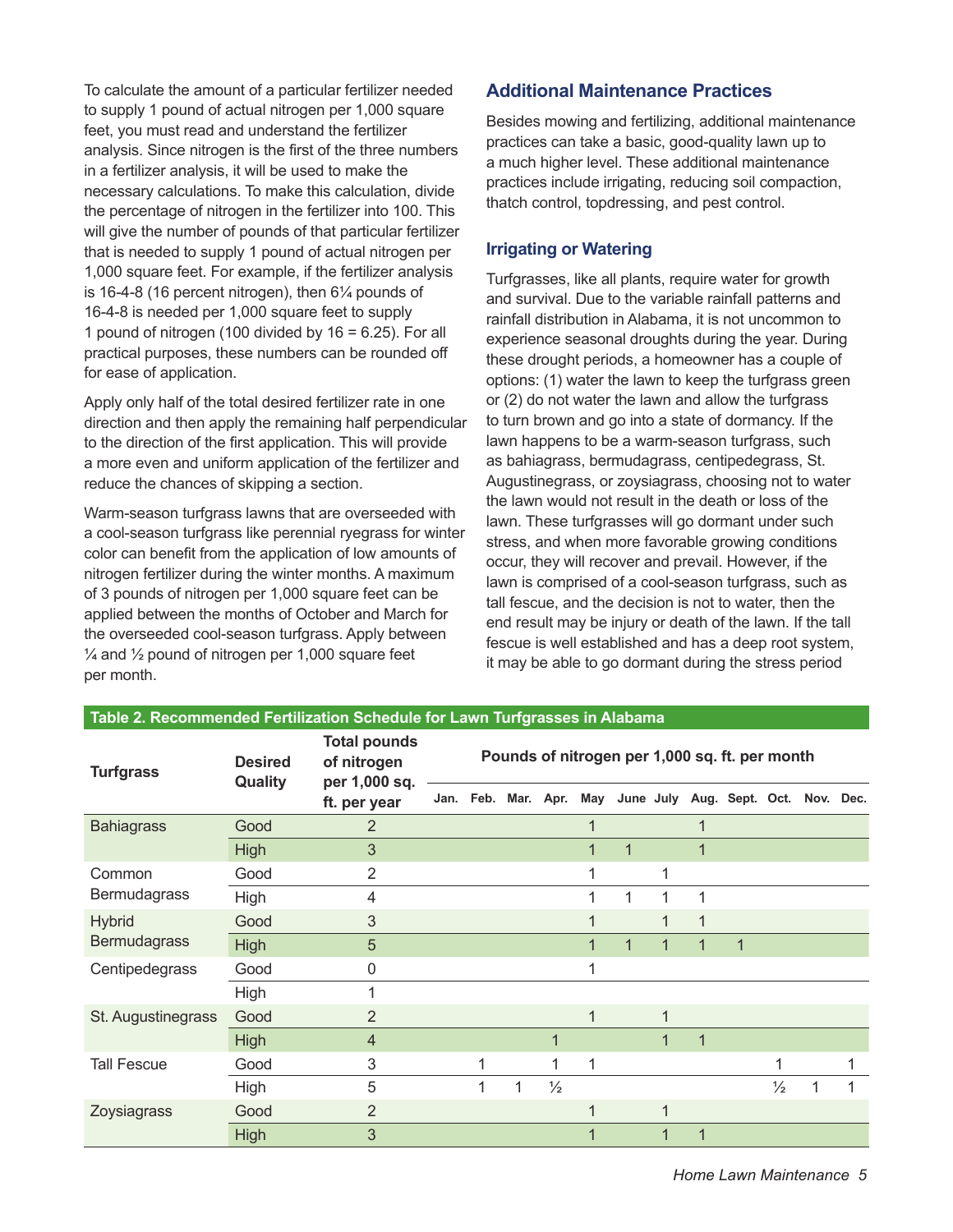To calculate the amount of a particular fertilizer needed to supply 1 pound of actual nitrogen per 1,000 square feet, you must read and understand the fertilizer analysis. Since nitrogen is the first of the three numbers in a fertilizer analysis, it will be used to make the necessary calculations. To make this calculation, divide the percentage of nitrogen in the fertilizer into 100. This will give the number of pounds of that particular fertilizer that is needed to supply 1 pound of actual nitrogen per 1,000 square feet. For example, if the fertilizer analysis is 16-4-8 (16 percent nitrogen), then 6¼ pounds of 16-4-8 is needed per 1,000 square feet to supply 1 pound of nitrogen (100 divided by  $16 = 6.25$ ). For all practical purposes, these numbers can be rounded off for ease of application.

Apply only half of the total desired fertilizer rate in one direction and then apply the remaining half perpendicular to the direction of the first application. This will provide a more even and uniform application of the fertilizer and reduce the chances of skipping a section.

Warm-season turfgrass lawns that are overseeded with a cool-season turfgrass like perennial ryegrass for winter color can benefit from the application of low amounts of nitrogen fertilizer during the winter months. A maximum of 3 pounds of nitrogen per 1,000 square feet can be applied between the months of October and March for the overseeded cool-season turfgrass. Apply between  $\frac{1}{4}$  and  $\frac{1}{2}$  pound of nitrogen per 1,000 square feet per month.

**Table 2. Recommended Fertilization Schedule for Lawn Turfgrasses in Alabama**

## **Additional Maintenance Practices**

Besides mowing and fertilizing, additional maintenance practices can take a basic, good-quality lawn up to a much higher level. These additional maintenance practices include irrigating, reducing soil compaction, thatch control, topdressing, and pest control.

#### **Irrigating or Watering**

Turfgrasses, like all plants, require water for growth and survival. Due to the variable rainfall patterns and rainfall distribution in Alabama, it is not uncommon to experience seasonal droughts during the year. During these drought periods, a homeowner has a couple of options: (1) water the lawn to keep the turfgrass green or (2) do not water the lawn and allow the turfgrass to turn brown and go into a state of dormancy. If the lawn happens to be a warm-season turfgrass, such as bahiagrass, bermudagrass, centipedegrass, St. Augustinegrass, or zoysiagrass, choosing not to water the lawn would not result in the death or loss of the lawn. These turfgrasses will go dormant under such stress, and when more favorable growing conditions occur, they will recover and prevail. However, if the lawn is comprised of a cool-season turfgrass, such as tall fescue, and the decision is not to water, then the end result may be injury or death of the lawn. If the tall fescue is well established and has a deep root system, it may be able to go dormant during the stress period

| Table 2. Recommended Fernization ochedule for Lawn Tungrasses in Alabania |                           |                                                                     |                                                |           |   |               |             |              |             |   |                                         |               |   |   |
|---------------------------------------------------------------------------|---------------------------|---------------------------------------------------------------------|------------------------------------------------|-----------|---|---------------|-------------|--------------|-------------|---|-----------------------------------------|---------------|---|---|
| <b>Turfgrass</b>                                                          | <b>Desired</b><br>Quality | <b>Total pounds</b><br>of nitrogen<br>per 1,000 sq.<br>ft. per year | Pounds of nitrogen per 1,000 sq. ft. per month |           |   |               |             |              |             |   |                                         |               |   |   |
|                                                                           |                           |                                                                     |                                                | Jan. Feb. |   | Mar. Apr.     |             |              |             |   | May June July Aug. Sept. Oct. Nov. Dec. |               |   |   |
| <b>Bahiagrass</b>                                                         | Good                      | 2                                                                   |                                                |           |   |               | $\mathbf 1$ |              |             |   |                                         |               |   |   |
|                                                                           | <b>High</b>               | 3                                                                   |                                                |           |   |               | 1           | $\mathbf{1}$ |             | 1 |                                         |               |   |   |
| Common<br><b>Bermudagrass</b>                                             | Good                      | 2                                                                   |                                                |           |   |               | 1           |              | 1           |   |                                         |               |   |   |
|                                                                           | High                      | 4                                                                   |                                                |           |   |               | 1           | 1            | 1           |   |                                         |               |   |   |
| <b>Hybrid</b><br><b>Bermudagrass</b>                                      | Good                      | 3                                                                   |                                                |           |   |               | 1           |              |             |   |                                         |               |   |   |
|                                                                           | <b>High</b>               | 5                                                                   |                                                |           |   |               | 1           | 1            | 1           | 1 | $\mathbf 1$                             |               |   |   |
| Centipedegrass                                                            | Good                      | 0                                                                   |                                                |           |   |               | 1           |              |             |   |                                         |               |   |   |
|                                                                           | High                      | 1                                                                   |                                                |           |   |               |             |              |             |   |                                         |               |   |   |
| St. Augustinegrass                                                        | Good                      | $\overline{2}$                                                      |                                                |           |   |               | 1           |              | $\mathbf 1$ |   |                                         |               |   |   |
|                                                                           | <b>High</b>               | $\overline{4}$                                                      |                                                |           |   | $\mathbf{1}$  |             |              | 1           | 1 |                                         |               |   |   |
| <b>Tall Fescue</b>                                                        | Good                      | 3                                                                   |                                                | 1         |   | 1             | 1           |              |             |   |                                         | 1             |   | 1 |
|                                                                           | High                      | 5                                                                   |                                                |           | 1 | $\frac{1}{2}$ |             |              |             |   |                                         | $\frac{1}{2}$ | 1 |   |
| Zoysiagrass                                                               | Good                      | $\overline{2}$                                                      |                                                |           |   |               | $\mathbf 1$ |              | $\mathbf 1$ |   |                                         |               |   |   |
|                                                                           | <b>High</b>               | 3                                                                   |                                                |           |   |               | 1           |              | 1           | 1 |                                         |               |   |   |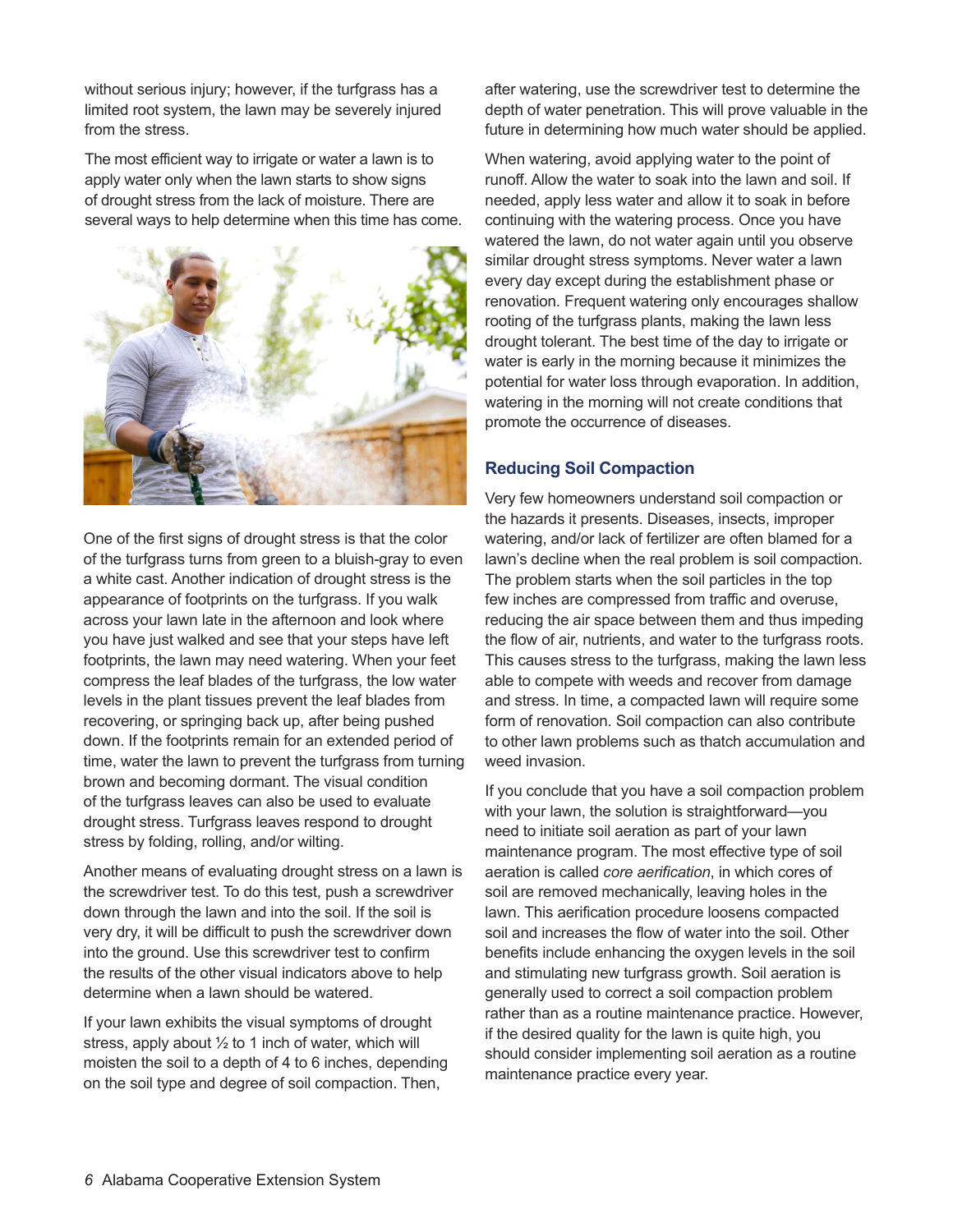without serious injury; however, if the turfgrass has a limited root system, the lawn may be severely injured from the stress.

The most efficient way to irrigate or water a lawn is to apply water only when the lawn starts to show signs of drought stress from the lack of moisture. There are several ways to help determine when this time has come.



One of the first signs of drought stress is that the color of the turfgrass turns from green to a bluish-gray to even a white cast. Another indication of drought stress is the appearance of footprints on the turfgrass. If you walk across your lawn late in the afternoon and look where you have just walked and see that your steps have left footprints, the lawn may need watering. When your feet compress the leaf blades of the turfgrass, the low water levels in the plant tissues prevent the leaf blades from recovering, or springing back up, after being pushed down. If the footprints remain for an extended period of time, water the lawn to prevent the turfgrass from turning brown and becoming dormant. The visual condition of the turfgrass leaves can also be used to evaluate drought stress. Turfgrass leaves respond to drought stress by folding, rolling, and/or wilting.

Another means of evaluating drought stress on a lawn is the screwdriver test. To do this test, push a screwdriver down through the lawn and into the soil. If the soil is very dry, it will be difficult to push the screwdriver down into the ground. Use this screwdriver test to confirm the results of the other visual indicators above to help determine when a lawn should be watered.

If your lawn exhibits the visual symptoms of drought stress, apply about  $\frac{1}{2}$  to 1 inch of water, which will moisten the soil to a depth of 4 to 6 inches, depending on the soil type and degree of soil compaction. Then,

after watering, use the screwdriver test to determine the depth of water penetration. This will prove valuable in the future in determining how much water should be applied.

When watering, avoid applying water to the point of runoff. Allow the water to soak into the lawn and soil. If needed, apply less water and allow it to soak in before continuing with the watering process. Once you have watered the lawn, do not water again until you observe similar drought stress symptoms. Never water a lawn every day except during the establishment phase or renovation. Frequent watering only encourages shallow rooting of the turfgrass plants, making the lawn less drought tolerant. The best time of the day to irrigate or water is early in the morning because it minimizes the potential for water loss through evaporation. In addition, watering in the morning will not create conditions that promote the occurrence of diseases.

## **Reducing Soil Compaction**

Very few homeowners understand soil compaction or the hazards it presents. Diseases, insects, improper watering, and/or lack of fertilizer are often blamed for a lawn's decline when the real problem is soil compaction. The problem starts when the soil particles in the top few inches are compressed from traffic and overuse, reducing the air space between them and thus impeding the flow of air, nutrients, and water to the turfgrass roots. This causes stress to the turfgrass, making the lawn less able to compete with weeds and recover from damage and stress. In time, a compacted lawn will require some form of renovation. Soil compaction can also contribute to other lawn problems such as thatch accumulation and weed invasion.

If you conclude that you have a soil compaction problem with your lawn, the solution is straightforward—you need to initiate soil aeration as part of your lawn maintenance program. The most effective type of soil aeration is called *core aerification*, in which cores of soil are removed mechanically, leaving holes in the lawn. This aerification procedure loosens compacted soil and increases the flow of water into the soil. Other benefits include enhancing the oxygen levels in the soil and stimulating new turfgrass growth. Soil aeration is generally used to correct a soil compaction problem rather than as a routine maintenance practice. However, if the desired quality for the lawn is quite high, you should consider implementing soil aeration as a routine maintenance practice every year.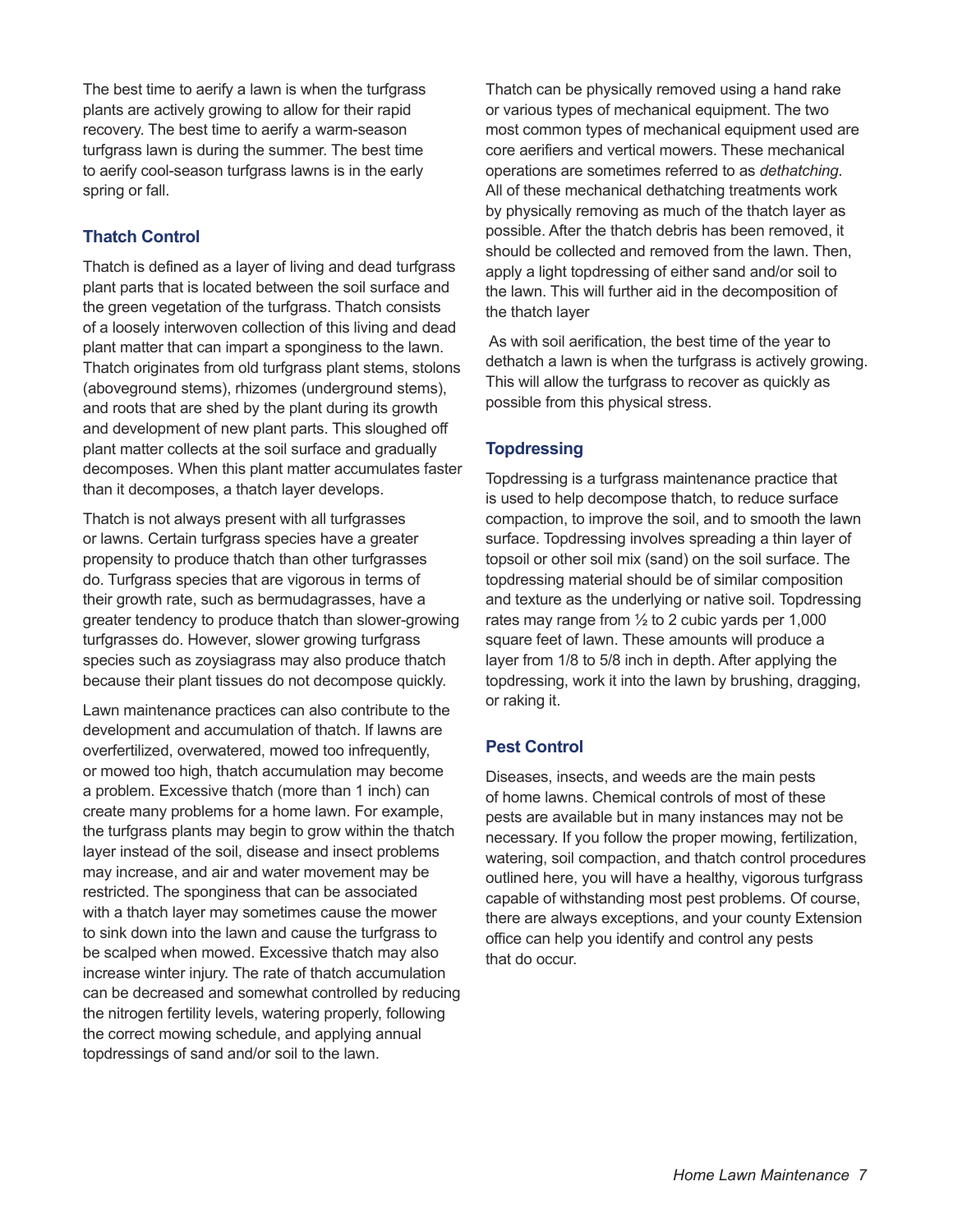The best time to aerify a lawn is when the turfgrass plants are actively growing to allow for their rapid recovery. The best time to aerify a warm-season turfgrass lawn is during the summer. The best time to aerify cool-season turfgrass lawns is in the early spring or fall.

#### **Thatch Control**

Thatch is defined as a layer of living and dead turfgrass plant parts that is located between the soil surface and the green vegetation of the turfgrass. Thatch consists of a loosely interwoven collection of this living and dead plant matter that can impart a sponginess to the lawn. Thatch originates from old turfgrass plant stems, stolons (aboveground stems), rhizomes (underground stems), and roots that are shed by the plant during its growth and development of new plant parts. This sloughed off plant matter collects at the soil surface and gradually decomposes. When this plant matter accumulates faster than it decomposes, a thatch layer develops.

Thatch is not always present with all turfgrasses or lawns. Certain turfgrass species have a greater propensity to produce thatch than other turfgrasses do. Turfgrass species that are vigorous in terms of their growth rate, such as bermudagrasses, have a greater tendency to produce thatch than slower-growing turfgrasses do. However, slower growing turfgrass species such as zoysiagrass may also produce thatch because their plant tissues do not decompose quickly.

Lawn maintenance practices can also contribute to the development and accumulation of thatch. If lawns are overfertilized, overwatered, mowed too infrequently, or mowed too high, thatch accumulation may become a problem. Excessive thatch (more than 1 inch) can create many problems for a home lawn. For example, the turfgrass plants may begin to grow within the thatch layer instead of the soil, disease and insect problems may increase, and air and water movement may be restricted. The sponginess that can be associated with a thatch layer may sometimes cause the mower to sink down into the lawn and cause the turfgrass to be scalped when mowed. Excessive thatch may also increase winter injury. The rate of thatch accumulation can be decreased and somewhat controlled by reducing the nitrogen fertility levels, watering properly, following the correct mowing schedule, and applying annual topdressings of sand and/or soil to the lawn.

Thatch can be physically removed using a hand rake or various types of mechanical equipment. The two most common types of mechanical equipment used are core aerifiers and vertical mowers. These mechanical operations are sometimes referred to as *dethatching*. All of these mechanical dethatching treatments work by physically removing as much of the thatch layer as possible. After the thatch debris has been removed, it should be collected and removed from the lawn. Then, apply a light topdressing of either sand and/or soil to the lawn. This will further aid in the decomposition of the thatch layer

 As with soil aerification, the best time of the year to dethatch a lawn is when the turfgrass is actively growing. This will allow the turfgrass to recover as quickly as possible from this physical stress.

## **Topdressing**

Topdressing is a turfgrass maintenance practice that is used to help decompose thatch, to reduce surface compaction, to improve the soil, and to smooth the lawn surface. Topdressing involves spreading a thin layer of topsoil or other soil mix (sand) on the soil surface. The topdressing material should be of similar composition and texture as the underlying or native soil. Topdressing rates may range from  $\frac{1}{2}$  to 2 cubic yards per 1,000 square feet of lawn. These amounts will produce a layer from 1/8 to 5/8 inch in depth. After applying the topdressing, work it into the lawn by brushing, dragging, or raking it.

#### **Pest Control**

Diseases, insects, and weeds are the main pests of home lawns. Chemical controls of most of these pests are available but in many instances may not be necessary. If you follow the proper mowing, fertilization, watering, soil compaction, and thatch control procedures outlined here, you will have a healthy, vigorous turfgrass capable of withstanding most pest problems. Of course, there are always exceptions, and your county Extension office can help you identify and control any pests that do occur.